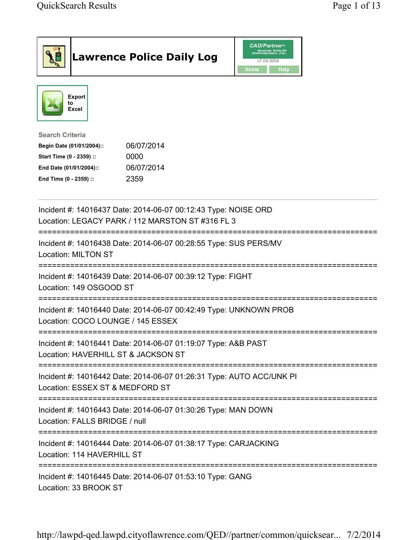|                                                                                                                                      | <b>Lawrence Police Daily Log</b>                                                                                   | <b>CAD/Partner</b> ®<br>Queues Enforth<br>Development, Inc.<br>v7.04.0004<br>Home<br>Help |  |
|--------------------------------------------------------------------------------------------------------------------------------------|--------------------------------------------------------------------------------------------------------------------|-------------------------------------------------------------------------------------------|--|
| Export<br>to<br>Excel                                                                                                                |                                                                                                                    |                                                                                           |  |
| <b>Search Criteria</b><br>Begin Date (01/01/2004)::<br>Start Time (0 - 2359) ::<br>End Date (01/01/2004)::<br>End Time (0 - 2359) :: | 06/07/2014<br>0000<br>06/07/2014<br>2359                                                                           |                                                                                           |  |
|                                                                                                                                      | Incident #: 14016437 Date: 2014-06-07 00:12:43 Type: NOISE ORD<br>Location: LEGACY PARK / 112 MARSTON ST #316 FL 3 |                                                                                           |  |
| <b>Location: MILTON ST</b>                                                                                                           | Incident #: 14016438 Date: 2014-06-07 00:28:55 Type: SUS PERS/MV                                                   |                                                                                           |  |
| Location: 149 OSGOOD ST                                                                                                              | Incident #: 14016439 Date: 2014-06-07 00:39:12 Type: FIGHT                                                         |                                                                                           |  |
| Location: COCO LOUNGE / 145 ESSEX                                                                                                    | Incident #: 14016440 Date: 2014-06-07 00:42:49 Type: UNKNOWN PROB                                                  |                                                                                           |  |
| Location: HAVERHILL ST & JACKSON ST                                                                                                  | Incident #: 14016441 Date: 2014-06-07 01:19:07 Type: A&B PAST                                                      |                                                                                           |  |
| Location: ESSEX ST & MEDFORD ST                                                                                                      | Incident #: 14016442 Date: 2014-06-07 01:26:31 Type: AUTO ACC/UNK PI                                               |                                                                                           |  |
| Location: FALLS BRIDGE / null                                                                                                        | Incident #: 14016443 Date: 2014-06-07 01:30:26 Type: MAN DOWN                                                      |                                                                                           |  |
| Location: 114 HAVERHILL ST                                                                                                           | Incident #: 14016444 Date: 2014-06-07 01:38:17 Type: CARJACKING                                                    |                                                                                           |  |
| Location: 33 BROOK ST                                                                                                                | Incident #: 14016445 Date: 2014-06-07 01:53:10 Type: GANG                                                          |                                                                                           |  |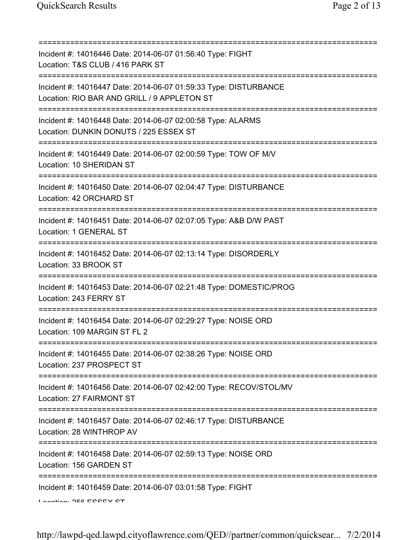| Incident #: 14016446 Date: 2014-06-07 01:56:40 Type: FIGHT<br>Location: T&S CLUB / 416 PARK ST                                                                                   |
|----------------------------------------------------------------------------------------------------------------------------------------------------------------------------------|
| Incident #: 14016447 Date: 2014-06-07 01:59:33 Type: DISTURBANCE<br>Location: RIO BAR AND GRILL / 9 APPLETON ST                                                                  |
| ================================<br>Incident #: 14016448 Date: 2014-06-07 02:00:58 Type: ALARMS<br>Location: DUNKIN DONUTS / 225 ESSEX ST<br>=================================== |
| Incident #: 14016449 Date: 2014-06-07 02:00:59 Type: TOW OF M/V<br>Location: 10 SHERIDAN ST                                                                                      |
| Incident #: 14016450 Date: 2014-06-07 02:04:47 Type: DISTURBANCE<br>Location: 42 ORCHARD ST                                                                                      |
| ;===================================<br>Incident #: 14016451 Date: 2014-06-07 02:07:05 Type: A&B D/W PAST<br>Location: 1 GENERAL ST                                              |
| Incident #: 14016452 Date: 2014-06-07 02:13:14 Type: DISORDERLY<br>Location: 33 BROOK ST                                                                                         |
| Incident #: 14016453 Date: 2014-06-07 02:21:48 Type: DOMESTIC/PROG<br>Location: 243 FERRY ST                                                                                     |
| Incident #: 14016454 Date: 2014-06-07 02:29:27 Type: NOISE ORD<br>Location: 109 MARGIN ST FL 2                                                                                   |
| Incident #: 14016455 Date: 2014-06-07 02:38:26 Type: NOISE ORD<br>Location: 237 PROSPECT ST                                                                                      |
| Incident #: 14016456 Date: 2014-06-07 02:42:00 Type: RECOV/STOL/MV<br>Location: 27 FAIRMONT ST                                                                                   |
| Incident #: 14016457 Date: 2014-06-07 02:46:17 Type: DISTURBANCE<br>Location: 28 WINTHROP AV                                                                                     |
| Incident #: 14016458 Date: 2014-06-07 02:59:13 Type: NOISE ORD<br>Location: 156 GARDEN ST                                                                                        |
| Incident #: 14016459 Date: 2014-06-07 03:01:58 Type: FIGHT<br>Lootion: OEG EOOEV OT                                                                                              |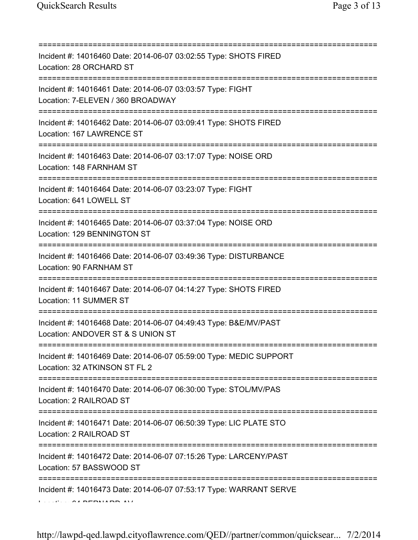| Incident #: 14016460 Date: 2014-06-07 03:02:55 Type: SHOTS FIRED<br>Location: 28 ORCHARD ST                                     |
|---------------------------------------------------------------------------------------------------------------------------------|
| Incident #: 14016461 Date: 2014-06-07 03:03:57 Type: FIGHT<br>Location: 7-ELEVEN / 360 BROADWAY<br>-------------------------    |
| Incident #: 14016462 Date: 2014-06-07 03:09:41 Type: SHOTS FIRED<br>Location: 167 LAWRENCE ST                                   |
| Incident #: 14016463 Date: 2014-06-07 03:17:07 Type: NOISE ORD<br>Location: 148 FARNHAM ST                                      |
| -----------------------------------<br>Incident #: 14016464 Date: 2014-06-07 03:23:07 Type: FIGHT<br>Location: 641 LOWELL ST    |
| .-----------------------------<br>Incident #: 14016465 Date: 2014-06-07 03:37:04 Type: NOISE ORD<br>Location: 129 BENNINGTON ST |
| Incident #: 14016466 Date: 2014-06-07 03:49:36 Type: DISTURBANCE<br>Location: 90 FARNHAM ST                                     |
| ======================<br>Incident #: 14016467 Date: 2014-06-07 04:14:27 Type: SHOTS FIRED<br>Location: 11 SUMMER ST            |
| Incident #: 14016468 Date: 2014-06-07 04:49:43 Type: B&E/MV/PAST<br>Location: ANDOVER ST & S UNION ST                           |
| Incident #: 14016469 Date: 2014-06-07 05:59:00 Type: MEDIC SUPPORT<br>Location: 32 ATKINSON ST FL 2                             |
| Incident #: 14016470 Date: 2014-06-07 06:30:00 Type: STOL/MV/PAS<br>Location: 2 RAILROAD ST                                     |
| Incident #: 14016471 Date: 2014-06-07 06:50:39 Type: LIC PLATE STO<br>Location: 2 RAILROAD ST                                   |
| Incident #: 14016472 Date: 2014-06-07 07:15:26 Type: LARCENY/PAST<br>Location: 57 BASSWOOD ST                                   |
| Incident #: 14016473 Date: 2014-06-07 07:53:17 Type: WARRANT SERVE                                                              |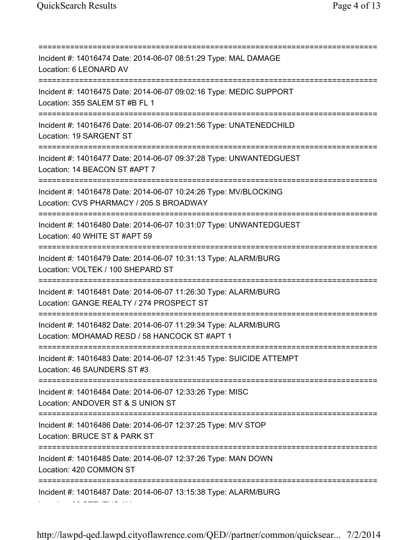Location: 32 STEVENS AV

=========================================================================== Incident #: 14016474 Date: 2014-06-07 08:51:29 Type: MAL DAMAGE Location: 6 LEONARD AV =========================================================================== Incident #: 14016475 Date: 2014-06-07 09:02:16 Type: MEDIC SUPPORT Location: 355 SALEM ST #B FL 1 =========================================================================== Incident #: 14016476 Date: 2014-06-07 09:21:56 Type: UNATENEDCHILD Location: 19 SARGENT ST =========================================================================== Incident #: 14016477 Date: 2014-06-07 09:37:28 Type: UNWANTEDGUEST Location: 14 BEACON ST #APT 7 =========================================================================== Incident #: 14016478 Date: 2014-06-07 10:24:26 Type: MV/BLOCKING Location: CVS PHARMACY / 205 S BROADWAY =========================================================================== Incident #: 14016480 Date: 2014-06-07 10:31:07 Type: UNWANTEDGUEST Location: 40 WHITE ST #APT 59 =========================================================================== Incident #: 14016479 Date: 2014-06-07 10:31:13 Type: ALARM/BURG Location: VOLTEK / 100 SHEPARD ST =========================================================================== Incident #: 14016481 Date: 2014-06-07 11:26:30 Type: ALARM/BURG Location: GANGE REALTY / 274 PROSPECT ST =========================================================================== Incident #: 14016482 Date: 2014-06-07 11:29:34 Type: ALARM/BURG Location: MOHAMAD RESD / 58 HANCOCK ST #APT 1 =========================================================================== Incident #: 14016483 Date: 2014-06-07 12:31:45 Type: SUICIDE ATTEMPT Location: 46 SAUNDERS ST #3 =========================================================================== Incident #: 14016484 Date: 2014-06-07 12:33:26 Type: MISC Location: ANDOVER ST & S UNION ST =========================================================================== Incident #: 14016486 Date: 2014-06-07 12:37:25 Type: M/V STOP Location: BRUCE ST & PARK ST =========================================================================== Incident #: 14016485 Date: 2014-06-07 12:37:26 Type: MAN DOWN Location: 420 COMMON ST =========================================================================== Incident #: 14016487 Date: 2014-06-07 13:15:38 Type: ALARM/BURG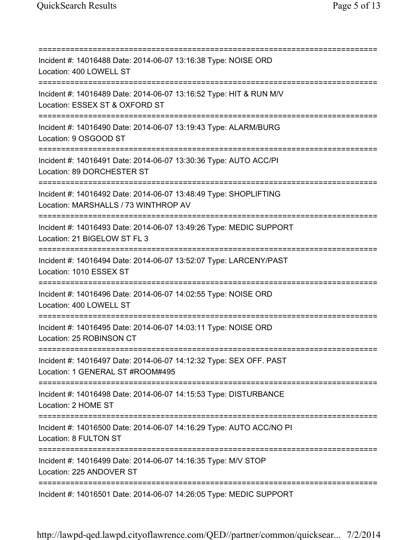=========================================================================== Incident #: 14016488 Date: 2014-06-07 13:16:38 Type: NOISE ORD Location: 400 LOWELL ST =========================================================================== Incident #: 14016489 Date: 2014-06-07 13:16:52 Type: HIT & RUN M/V Location: ESSEX ST & OXFORD ST =========================================================================== Incident #: 14016490 Date: 2014-06-07 13:19:43 Type: ALARM/BURG Location: 9 OSGOOD ST =========================================================================== Incident #: 14016491 Date: 2014-06-07 13:30:36 Type: AUTO ACC/PI Location: 89 DORCHESTER ST =========================================================================== Incident #: 14016492 Date: 2014-06-07 13:48:49 Type: SHOPLIFTING Location: MARSHALLS / 73 WINTHROP AV =========================================================================== Incident #: 14016493 Date: 2014-06-07 13:49:26 Type: MEDIC SUPPORT Location: 21 BIGELOW ST FL 3 =========================================================================== Incident #: 14016494 Date: 2014-06-07 13:52:07 Type: LARCENY/PAST Location: 1010 ESSEX ST =========================================================================== Incident #: 14016496 Date: 2014-06-07 14:02:55 Type: NOISE ORD Location: 400 LOWELL ST =========================================================================== Incident #: 14016495 Date: 2014-06-07 14:03:11 Type: NOISE ORD Location: 25 ROBINSON CT =========================================================================== Incident #: 14016497 Date: 2014-06-07 14:12:32 Type: SEX OFF. PAST Location: 1 GENERAL ST #ROOM#495 =========================================================================== Incident #: 14016498 Date: 2014-06-07 14:15:53 Type: DISTURBANCE Location: 2 HOME ST =========================================================================== Incident #: 14016500 Date: 2014-06-07 14:16:29 Type: AUTO ACC/NO PI Location: 8 FULTON ST =========================================================================== Incident #: 14016499 Date: 2014-06-07 14:16:35 Type: M/V STOP Location: 225 ANDOVER ST =========================================================================== Incident #: 14016501 Date: 2014-06-07 14:26:05 Type: MEDIC SUPPORT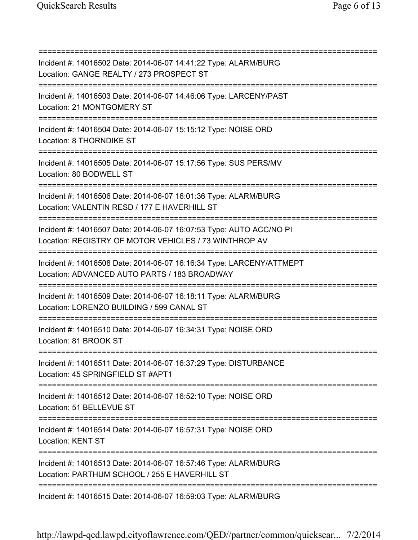=========================================================================== Incident #: 14016502 Date: 2014-06-07 14:41:22 Type: ALARM/BURG Location: GANGE REALTY / 273 PROSPECT ST =========================================================================== Incident #: 14016503 Date: 2014-06-07 14:46:06 Type: LARCENY/PAST Location: 21 MONTGOMERY ST =========================================================================== Incident #: 14016504 Date: 2014-06-07 15:15:12 Type: NOISE ORD Location: 8 THORNDIKE ST =========================================================================== Incident #: 14016505 Date: 2014-06-07 15:17:56 Type: SUS PERS/MV Location: 80 BODWELL ST =========================================================================== Incident #: 14016506 Date: 2014-06-07 16:01:36 Type: ALARM/BURG Location: VALENTIN RESD / 177 E HAVERHILL ST =========================================================================== Incident #: 14016507 Date: 2014-06-07 16:07:53 Type: AUTO ACC/NO PI Location: REGISTRY OF MOTOR VEHICLES / 73 WINTHROP AV =========================================================================== Incident #: 14016508 Date: 2014-06-07 16:16:34 Type: LARCENY/ATTMEPT Location: ADVANCED AUTO PARTS / 183 BROADWAY =========================================================================== Incident #: 14016509 Date: 2014-06-07 16:18:11 Type: ALARM/BURG Location: LORENZO BUILDING / 599 CANAL ST =========================================================================== Incident #: 14016510 Date: 2014-06-07 16:34:31 Type: NOISE ORD Location: 81 BROOK ST =========================================================================== Incident #: 14016511 Date: 2014-06-07 16:37:29 Type: DISTURBANCE Location: 45 SPRINGFIELD ST #APT1 =========================================================================== Incident #: 14016512 Date: 2014-06-07 16:52:10 Type: NOISE ORD Location: 51 BELLEVUE ST =========================================================================== Incident #: 14016514 Date: 2014-06-07 16:57:31 Type: NOISE ORD Location: KENT ST =========================================================================== Incident #: 14016513 Date: 2014-06-07 16:57:46 Type: ALARM/BURG Location: PARTHUM SCHOOL / 255 E HAVERHILL ST =========================================================================== Incident #: 14016515 Date: 2014-06-07 16:59:03 Type: ALARM/BURG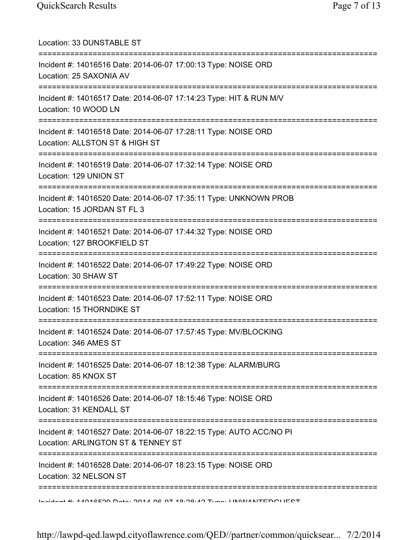| Location: 33 DUNSTABLE ST                                                                                                                       |
|-------------------------------------------------------------------------------------------------------------------------------------------------|
| Incident #: 14016516 Date: 2014-06-07 17:00:13 Type: NOISE ORD<br>Location: 25 SAXONIA AV                                                       |
| Incident #: 14016517 Date: 2014-06-07 17:14:23 Type: HIT & RUN M/V<br>Location: 10 WOOD LN                                                      |
| Incident #: 14016518 Date: 2014-06-07 17:28:11 Type: NOISE ORD<br>Location: ALLSTON ST & HIGH ST                                                |
| Incident #: 14016519 Date: 2014-06-07 17:32:14 Type: NOISE ORD<br>Location: 129 UNION ST                                                        |
| Incident #: 14016520 Date: 2014-06-07 17:35:11 Type: UNKNOWN PROB<br>Location: 15 JORDAN ST FL 3<br>--------------------------                  |
| Incident #: 14016521 Date: 2014-06-07 17:44:32 Type: NOISE ORD<br>Location: 127 BROOKFIELD ST                                                   |
| =======================<br>==========================<br>Incident #: 14016522 Date: 2014-06-07 17:49:22 Type: NOISE ORD<br>Location: 30 SHAW ST |
| Incident #: 14016523 Date: 2014-06-07 17:52:11 Type: NOISE ORD<br>Location: 15 THORNDIKE ST                                                     |
| Incident #: 14016524 Date: 2014-06-07 17:57:45 Type: MV/BLOCKING<br>Location: 346 AMES ST                                                       |
| Incident #: 14016525 Date: 2014-06-07 18:12:38 Type: ALARM/BURG<br>Location: 85 KNOX ST                                                         |
| Incident #: 14016526 Date: 2014-06-07 18:15:46 Type: NOISE ORD<br>Location: 31 KENDALL ST                                                       |
| Incident #: 14016527 Date: 2014-06-07 18:22:15 Type: AUTO ACC/NO PI<br>Location: ARLINGTON ST & TENNEY ST                                       |
| Incident #: 14016528 Date: 2014-06-07 18:23:15 Type: NOISE ORD<br>Location: 32 NELSON ST                                                        |
| Incident # 4 1012E00 Data: 0011 02 07 10:00:10 Tune: IINIM/ANITEDOI IECT                                                                        |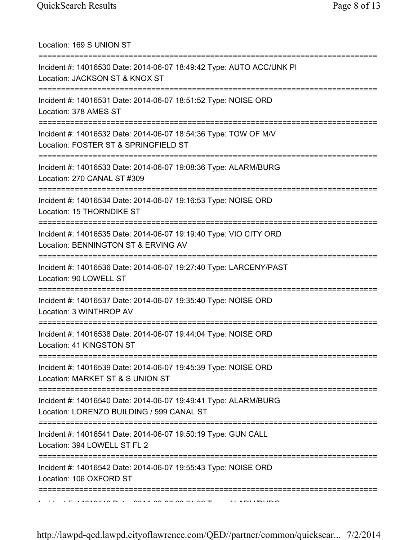Location: 169 S UNION ST =========================================================================== Incident #: 14016530 Date: 2014-06-07 18:49:42 Type: AUTO ACC/UNK PI Location: JACKSON ST & KNOX ST =========================================================================== Incident #: 14016531 Date: 2014-06-07 18:51:52 Type: NOISE ORD Location: 378 AMES ST =========================================================================== Incident #: 14016532 Date: 2014-06-07 18:54:36 Type: TOW OF M/V Location: FOSTER ST & SPRINGFIELD ST =========================================================================== Incident #: 14016533 Date: 2014-06-07 19:08:36 Type: ALARM/BURG Location: 270 CANAL ST #309 =========================================================================== Incident #: 14016534 Date: 2014-06-07 19:16:53 Type: NOISE ORD Location: 15 THORNDIKE ST =========================================================================== Incident #: 14016535 Date: 2014-06-07 19:19:40 Type: VIO CITY ORD Location: BENNINGTON ST & ERVING AV =========================================================================== Incident #: 14016536 Date: 2014-06-07 19:27:40 Type: LARCENY/PAST Location: 90 LOWELL ST =========================================================================== Incident #: 14016537 Date: 2014-06-07 19:35:40 Type: NOISE ORD Location: 3 WINTHROP AV =========================================================================== Incident #: 14016538 Date: 2014-06-07 19:44:04 Type: NOISE ORD Location: 41 KINGSTON ST =========================================================================== Incident #: 14016539 Date: 2014-06-07 19:45:39 Type: NOISE ORD Location: MARKET ST & S UNION ST =========================================================================== Incident #: 14016540 Date: 2014-06-07 19:49:41 Type: ALARM/BURG Location: LORENZO BUILDING / 599 CANAL ST =========================================================================== Incident #: 14016541 Date: 2014-06-07 19:50:19 Type: GUN CALL Location: 394 LOWELL ST FL 2 =========================================================================== Incident #: 14016542 Date: 2014-06-07 19:55:43 Type: NOISE ORD Location: 106 OXFORD ST ===========================================================================  $\overline{11}$  A ANAREAN D. I. CANALON DE CON AA ON TYPE: ALARMALIDO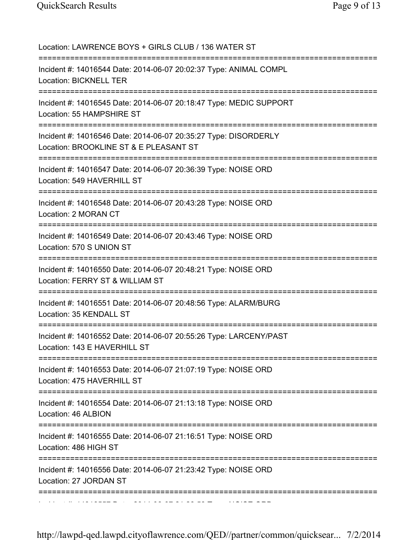| Location: LAWRENCE BOYS + GIRLS CLUB / 136 WATER ST                                                       |
|-----------------------------------------------------------------------------------------------------------|
| Incident #: 14016544 Date: 2014-06-07 20:02:37 Type: ANIMAL COMPL<br>Location: BICKNELL TER               |
| Incident #: 14016545 Date: 2014-06-07 20:18:47 Type: MEDIC SUPPORT<br>Location: 55 HAMPSHIRE ST           |
| Incident #: 14016546 Date: 2014-06-07 20:35:27 Type: DISORDERLY<br>Location: BROOKLINE ST & E PLEASANT ST |
| Incident #: 14016547 Date: 2014-06-07 20:36:39 Type: NOISE ORD<br>Location: 549 HAVERHILL ST              |
| Incident #: 14016548 Date: 2014-06-07 20:43:28 Type: NOISE ORD<br>Location: 2 MORAN CT                    |
| Incident #: 14016549 Date: 2014-06-07 20:43:46 Type: NOISE ORD<br>Location: 570 S UNION ST                |
| Incident #: 14016550 Date: 2014-06-07 20:48:21 Type: NOISE ORD<br>Location: FERRY ST & WILLIAM ST         |
| Incident #: 14016551 Date: 2014-06-07 20:48:56 Type: ALARM/BURG<br>Location: 35 KENDALL ST                |
| Incident #: 14016552 Date: 2014-06-07 20:55:26 Type: LARCENY/PAST<br>Location: 143 E HAVERHILL ST         |
| Incident #: 14016553 Date: 2014-06-07 21:07:19 Type: NOISE ORD<br>Location: 475 HAVERHILL ST              |
| Incident #: 14016554 Date: 2014-06-07 21:13:18 Type: NOISE ORD<br>Location: 46 ALBION                     |
| Incident #: 14016555 Date: 2014-06-07 21:16:51 Type: NOISE ORD<br>Location: 486 HIGH ST                   |
| Incident #: 14016556 Date: 2014-06-07 21:23:42 Type: NOISE ORD<br>Location: 27 JORDAN ST                  |
|                                                                                                           |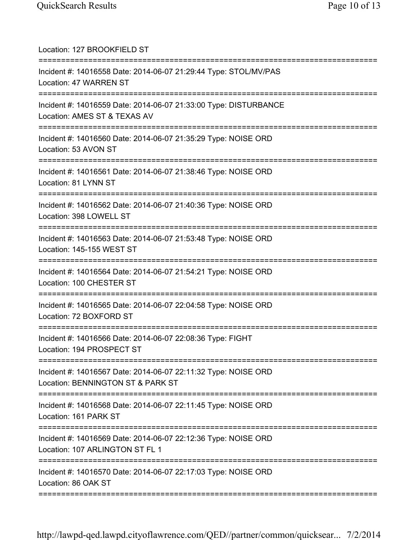| Location: 127 BROOKFIELD ST<br>=========================                                                                         |
|----------------------------------------------------------------------------------------------------------------------------------|
| Incident #: 14016558 Date: 2014-06-07 21:29:44 Type: STOL/MV/PAS<br>Location: 47 WARREN ST                                       |
| Incident #: 14016559 Date: 2014-06-07 21:33:00 Type: DISTURBANCE<br>Location: AMES ST & TEXAS AV                                 |
| Incident #: 14016560 Date: 2014-06-07 21:35:29 Type: NOISE ORD<br>Location: 53 AVON ST                                           |
| Incident #: 14016561 Date: 2014-06-07 21:38:46 Type: NOISE ORD<br>Location: 81 LYNN ST                                           |
| Incident #: 14016562 Date: 2014-06-07 21:40:36 Type: NOISE ORD<br>Location: 398 LOWELL ST                                        |
| Incident #: 14016563 Date: 2014-06-07 21:53:48 Type: NOISE ORD<br>Location: 145-155 WEST ST                                      |
| Incident #: 14016564 Date: 2014-06-07 21:54:21 Type: NOISE ORD<br>Location: 100 CHESTER ST                                       |
| Incident #: 14016565 Date: 2014-06-07 22:04:58 Type: NOISE ORD<br>Location: 72 BOXFORD ST                                        |
| Incident #: 14016566 Date: 2014-06-07 22:08:36 Type: FIGHT<br>Location: 194 PROSPECT ST                                          |
| =========================<br>Incident #: 14016567 Date: 2014-06-07 22:11:32 Type: NOISE ORD<br>Location: BENNINGTON ST & PARK ST |
| Incident #: 14016568 Date: 2014-06-07 22:11:45 Type: NOISE ORD<br>Location: 161 PARK ST                                          |
| Incident #: 14016569 Date: 2014-06-07 22:12:36 Type: NOISE ORD<br>Location: 107 ARLINGTON ST FL 1                                |
| ===========<br>Incident #: 14016570 Date: 2014-06-07 22:17:03 Type: NOISE ORD<br>Location: 86 OAK ST                             |
|                                                                                                                                  |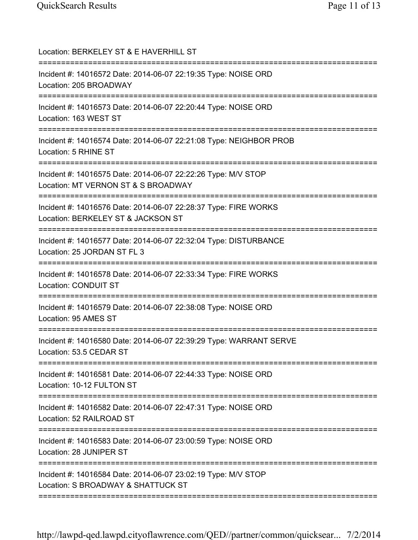| Location: BERKELEY ST & E HAVERHILL ST                                                                                          |
|---------------------------------------------------------------------------------------------------------------------------------|
| Incident #: 14016572 Date: 2014-06-07 22:19:35 Type: NOISE ORD<br>Location: 205 BROADWAY                                        |
| Incident #: 14016573 Date: 2014-06-07 22:20:44 Type: NOISE ORD<br>Location: 163 WEST ST                                         |
| Incident #: 14016574 Date: 2014-06-07 22:21:08 Type: NEIGHBOR PROB<br>Location: 5 RHINE ST<br>:=========================        |
| Incident #: 14016575 Date: 2014-06-07 22:22:26 Type: M/V STOP<br>Location: MT VERNON ST & S BROADWAY                            |
| Incident #: 14016576 Date: 2014-06-07 22:28:37 Type: FIRE WORKS<br>Location: BERKELEY ST & JACKSON ST                           |
| Incident #: 14016577 Date: 2014-06-07 22:32:04 Type: DISTURBANCE<br>Location: 25 JORDAN ST FL 3                                 |
| Incident #: 14016578 Date: 2014-06-07 22:33:34 Type: FIRE WORKS<br><b>Location: CONDUIT ST</b>                                  |
| Incident #: 14016579 Date: 2014-06-07 22:38:08 Type: NOISE ORD<br>Location: 95 AMES ST                                          |
| Incident #: 14016580 Date: 2014-06-07 22:39:29 Type: WARRANT SERVE<br>Location: 53.5 CEDAR ST<br>============================== |
| Incident #: 14016581 Date: 2014-06-07 22:44:33 Type: NOISE ORD<br>Location: 10-12 FULTON ST                                     |
| Incident #: 14016582 Date: 2014-06-07 22:47:31 Type: NOISE ORD<br>Location: 52 RAILROAD ST                                      |
| Incident #: 14016583 Date: 2014-06-07 23:00:59 Type: NOISE ORD<br>Location: 28 JUNIPER ST                                       |
| Incident #: 14016584 Date: 2014-06-07 23:02:19 Type: M/V STOP<br>Location: S BROADWAY & SHATTUCK ST                             |
|                                                                                                                                 |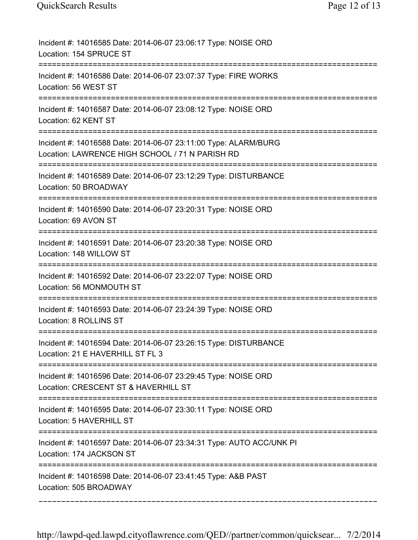| Incident #: 14016585 Date: 2014-06-07 23:06:17 Type: NOISE ORD<br>Location: 154 SPRUCE ST                                          |
|------------------------------------------------------------------------------------------------------------------------------------|
| Incident #: 14016586 Date: 2014-06-07 23:07:37 Type: FIRE WORKS<br>Location: 56 WEST ST                                            |
| Incident #: 14016587 Date: 2014-06-07 23:08:12 Type: NOISE ORD<br>Location: 62 KENT ST                                             |
| Incident #: 14016588 Date: 2014-06-07 23:11:00 Type: ALARM/BURG<br>Location: LAWRENCE HIGH SCHOOL / 71 N PARISH RD                 |
| Incident #: 14016589 Date: 2014-06-07 23:12:29 Type: DISTURBANCE<br>Location: 50 BROADWAY                                          |
| Incident #: 14016590 Date: 2014-06-07 23:20:31 Type: NOISE ORD<br>Location: 69 AVON ST                                             |
| Incident #: 14016591 Date: 2014-06-07 23:20:38 Type: NOISE ORD<br>Location: 148 WILLOW ST                                          |
| Incident #: 14016592 Date: 2014-06-07 23:22:07 Type: NOISE ORD<br>Location: 56 MONMOUTH ST<br>==================================== |
| Incident #: 14016593 Date: 2014-06-07 23:24:39 Type: NOISE ORD<br>Location: 8 ROLLINS ST                                           |
| Incident #: 14016594 Date: 2014-06-07 23:26:15 Type: DISTURBANCE<br>Location: 21 E HAVERHILL ST FL 3                               |
| Incident #: 14016596 Date: 2014-06-07 23:29:45 Type: NOISE ORD<br>Location: CRESCENT ST & HAVERHILL ST                             |
| Incident #: 14016595 Date: 2014-06-07 23:30:11 Type: NOISE ORD<br>Location: 5 HAVERHILL ST                                         |
| Incident #: 14016597 Date: 2014-06-07 23:34:31 Type: AUTO ACC/UNK PI<br>Location: 174 JACKSON ST                                   |
| Incident #: 14016598 Date: 2014-06-07 23:41:45 Type: A&B PAST<br>Location: 505 BROADWAY                                            |

===========================================================================